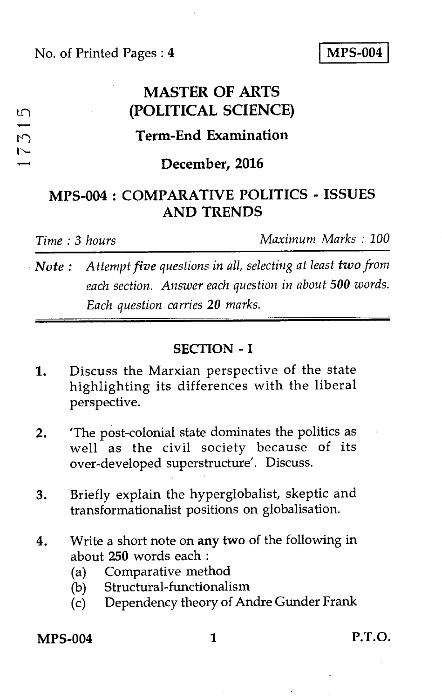No. of Printed Pages : **4 MPS-004** 

## **MASTER OF ARTS (POLITICAL SCIENCE)**

# **is is the Term-End Examination**<br> **is the Term-End Examination**<br> **is the Term-End Examination**

#### **December, 2016**

### **MPS-004 : COMPARATIVE POLITICS - ISSUES AND TRENDS**

 $\mathfrak{m}$ 

*Time : 3 hours Maximum Marks : 100* 

*Note : Attempt five questions in all, selecting at least two from each section. Answer each question in about 500 words. Each question carries* **20** *marks.* 

#### **SECTION - I**

- 1. Discuss the Marxian perspective of the state highlighting its differences with the liberal perspective.
- 2. 'The post-colonial state dominates the politics as well as the civil society because of its over-developed superstructure'. Discuss.
- 3. Briefly explain the hyperglobalist, skeptic and transformationalist positions on globalisation.
- 4. Write a short note on *any* **two** of the following in about **250** words each :
	- (a) Comparative method
	- (b) Structural-functionalism
	- (c) Dependency theory of Andre Gunder Frank

**MPS-004 1 P.T.O.**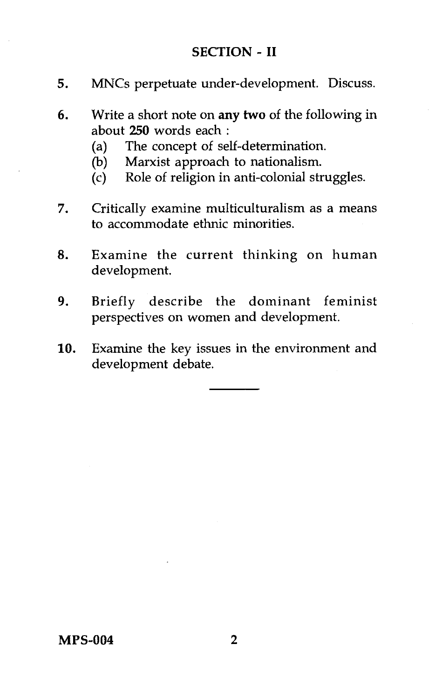#### **SECTION - II**

- **5.** MNCs perpetuate under-development. Discuss.
- **6.** Write a short note on **any two** of the following in about **250** words each :
	- (a) The concept of self-determination.
	- (b) Marxist approach to nationalism.
	- (c) Role of religion in anti-colonial struggles.
- 7. Critically examine multiculturalism as a means to accommodate ethnic minorities.
- **8.** Examine the current thinking on human development.
- **9.** Briefly describe the dominant feminist perspectives on women and development.
- **10.** Examine the key issues in the environment and development debate.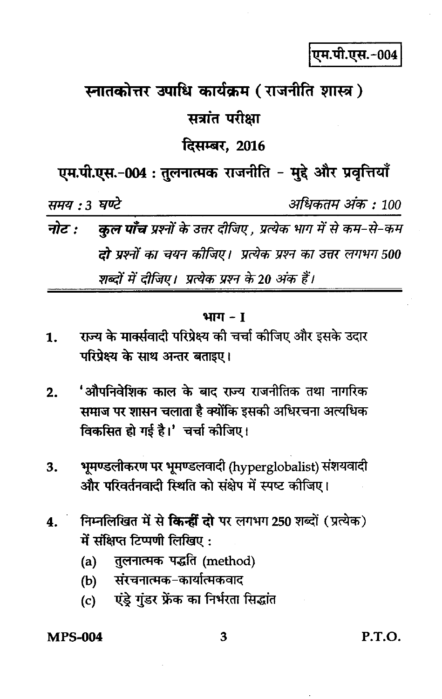एम.पी.एस.-004

# स्नातकोत्तर उपाधि कार्यक्रम (राजनीति शास्त्र) सत्रांत परीक्षा दिसम्बर. 2016

एम.पी.एस.-004 : तुलनात्मक राजनीति - मुद्दे और प्रवृत्तियाँ

समय : 3 घण्टे

अधिकतम अंक : 100

नोट : कुल पाँच प्रश्नों के उत्तर दीजिए , प्रत्येक भाग में से कम-से-कम **दो** प्रश्नों का चयन कीजिए। प्रत्येक प्रश्न का उत्तर लगभग 500 शब्दों में दीजिए। प्रत्येक प्रश्न के 20 अंक हैं।

#### भाग $-1$

- राज्य के मार्क्सवादी परिप्रेक्ष्य की चर्चा कीजिए और इसके उदार 1. परिप्रेक्ष्य के साथ अन्तर बताइए।
- 'औपनिवेशिक काल के बाद राज्य राजनीतिक तथा नागरिक  $2.$ समाज पर शासन चलाता है क्योंकि इसकी अधिरचना अत्यधिक विकसित हो गई है।' चर्चा कीजिए।
- भूमण्डलीकरण पर भूमण्डलवादी (hyperglobalist) संशयवादी  $3.$ और परिवर्तनवादी स्थिति को संक्षेप में स्पष्ट कीजिए।
- निम्नलिखित में से किन्हीं दो पर लगभग 250 शब्दों (प्रत्येक) 4. में संक्षिप्त टिप्पणी लिखिए:
	- $(a)$ तुलनात्मक पद्धति (method)
	- संरचनात्मक-कार्यात्मकवाद  $(b)$
	- एंड्रे गुंडर फ्रेंक का निर्भरता सिद्धांत  $(c)$

#### **MPS-004**